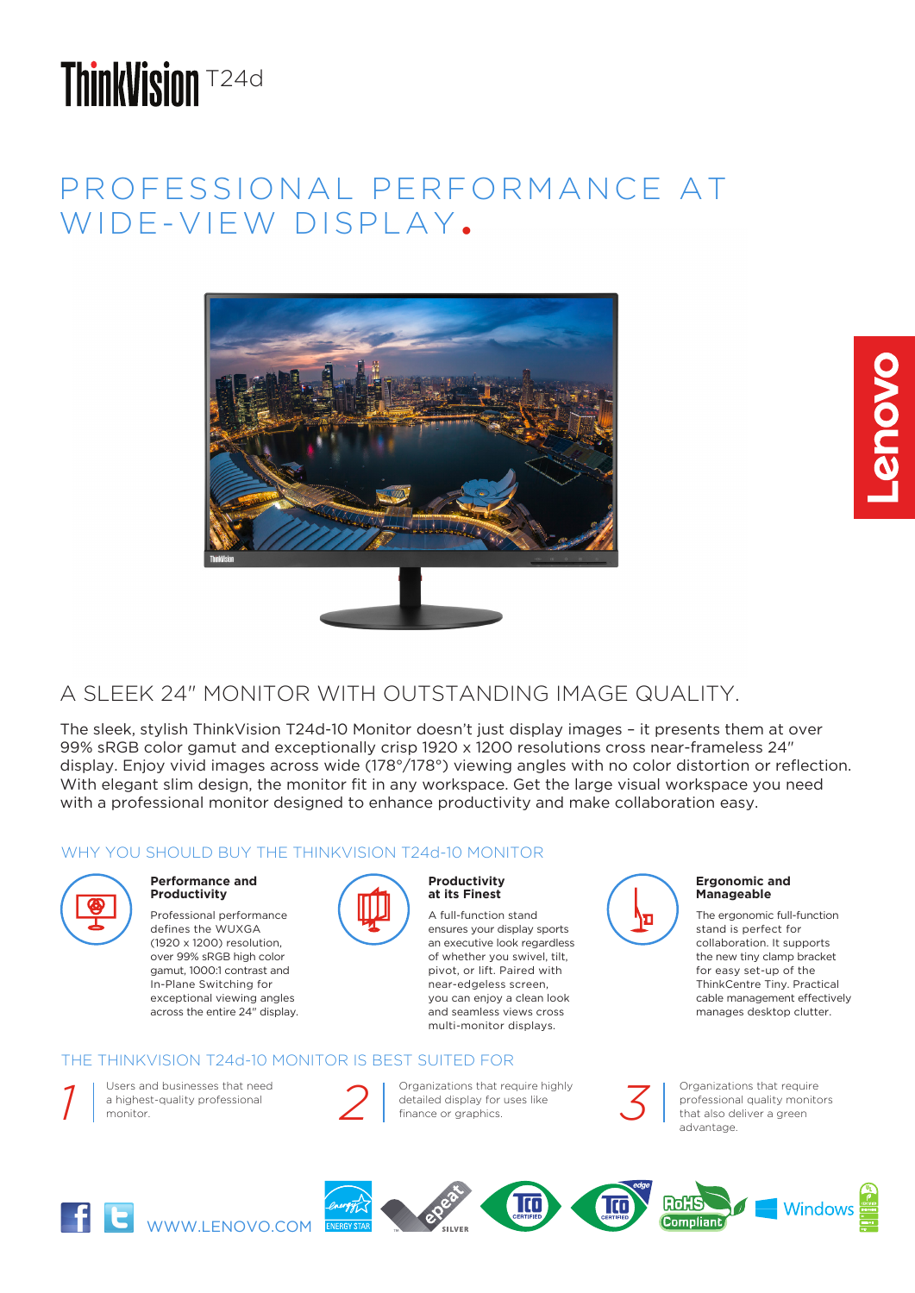# **ThinkVision T24d**

## PROFESSIONAL PERFORMANCE AT WIDE-VIEW DISPLAY.



## A SLEEK 24" MONITOR WITH OUTSTANDING IMAGE QUALITY.

The sleek, stylish ThinkVision T24d-10 Monitor doesn't just display images – it presents them at over 99% sRGB color gamut and exceptionally crisp 1920 x 1200 resolutions cross near-frameless 24" display. Enjoy vivid images across wide (178°/178°) viewing angles with no color distortion or reflection. With elegant slim design, the monitor fit in any workspace. Get the large visual workspace you need with a professional monitor designed to enhance productivity and make collaboration easy.

### WHY YOU SHOULD BUY THE THINKVISION T24d-10 MONITOR



#### **Performance and Productivity**

Professional performance defines the WUXGA (1920 x 1200) resolution, over 99% sRGB high color gamut, 1000:1 contrast and In-Plane Switching for exceptional viewing angles across the entire 24" display.



#### **Productivity at its Finest**

A full-function stand ensures your display sports an executive look regardless of whether you swivel, tilt, pivot, or lift. Paired with near-edgeless screen, you can enjoy a clean look and seamless views cross multi-monitor displays.

### THE THINKVISION T24d-10 MONITOR IS BEST SUITED FOR



Organizations that require highly detailed display for uses like<br>finance or graphics.



Organizations that require professional quality monitors that also deliver a green advantage.

The ergonomic full-function stand is perfect for collaboration. It supports the new tiny clamp bracket for easy set-up of the ThinkCentre Tiny. Practical cable management effectively manages desktop clutter.

**Ergonomic and Manageable**

**Provo**